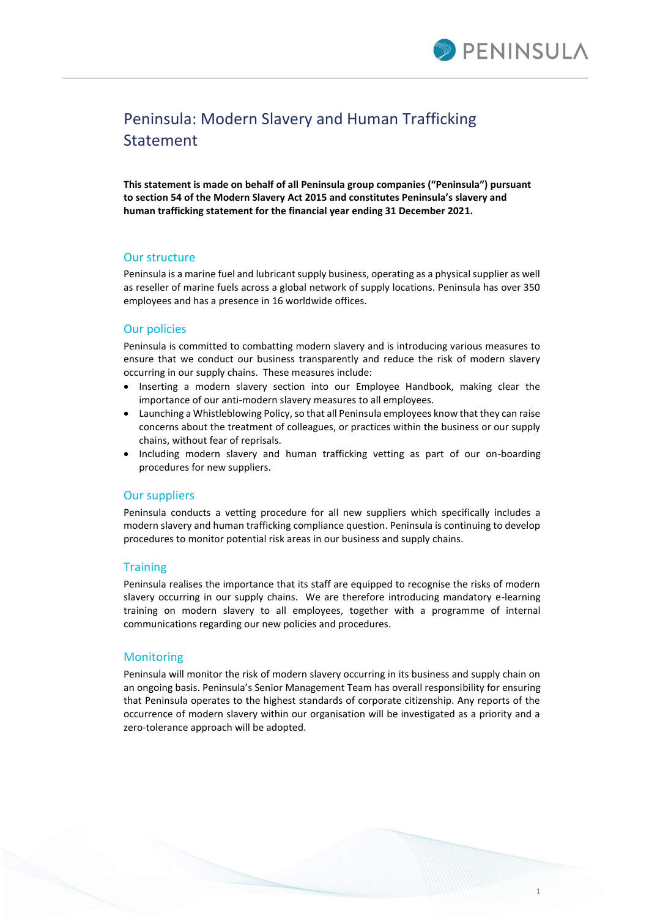

# Peninsula: Modern Slavery and Human Trafficking Statement

**This statement is made on behalf of all Peninsula group companies ("Peninsula") pursuant to section 54 of the Modern Slavery Act 2015 and constitutes Peninsula's slavery and human trafficking statement for the financial year ending 31 December 2021.** 

## Our structure

Peninsula is a marine fuel and lubricant supply business, operating as a physical supplier as well as reseller of marine fuels across a global network of supply locations. Peninsula has over 350 employees and has a presence in 16 worldwide offices.

### Our policies

Peninsula is committed to combatting modern slavery and is introducing various measures to ensure that we conduct our business transparently and reduce the risk of modern slavery occurring in our supply chains. These measures include:

- Inserting a modern slavery section into our Employee Handbook, making clear the importance of our anti-modern slavery measures to all employees.
- Launching a Whistleblowing Policy, so that all Peninsula employees know that they can raise concerns about the treatment of colleagues, or practices within the business or our supply chains, without fear of reprisals.
- Including modern slavery and human trafficking vetting as part of our on-boarding procedures for new suppliers.

#### Our suppliers

Peninsula conducts a vetting procedure for all new suppliers which specifically includes a modern slavery and human trafficking compliance question. Peninsula is continuing to develop procedures to monitor potential risk areas in our business and supply chains.

#### **Training**

Peninsula realises the importance that its staff are equipped to recognise the risks of modern slavery occurring in our supply chains. We are therefore introducing mandatory e-learning training on modern slavery to all employees, together with a programme of internal communications regarding our new policies and procedures.

#### **Monitoring**

Peninsula will monitor the risk of modern slavery occurring in its business and supply chain on an ongoing basis. Peninsula's Senior Management Team has overall responsibility for ensuring that Peninsula operates to the highest standards of corporate citizenship. Any reports of the occurrence of modern slavery within our organisation will be investigated as a priority and a zero-tolerance approach will be adopted.